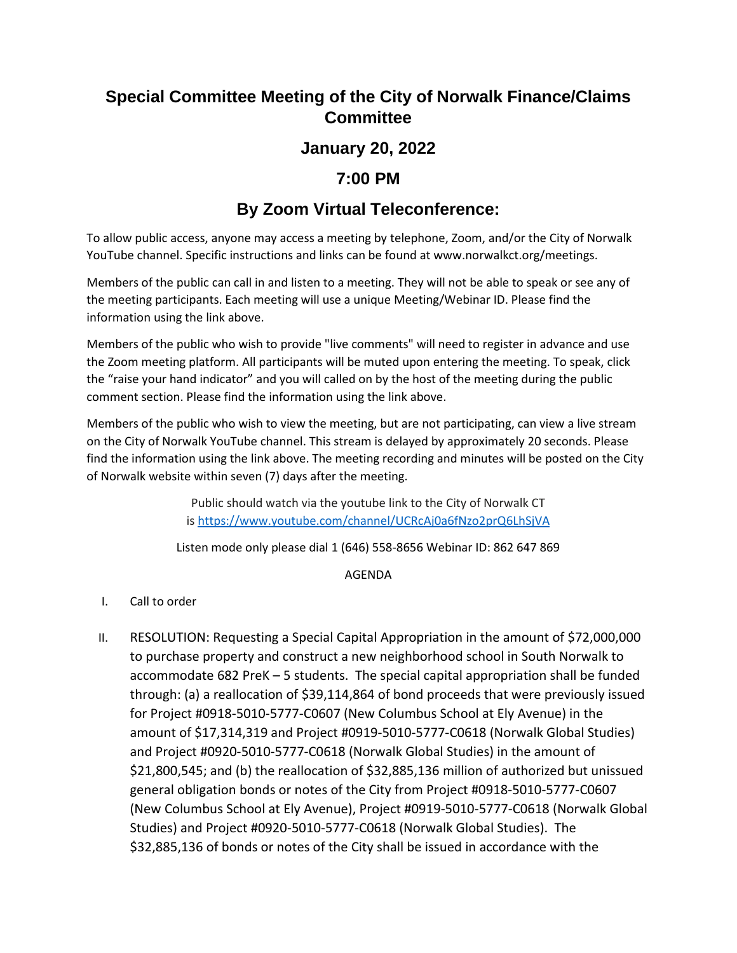# **Special Committee Meeting of the City of Norwalk Finance/Claims Committee**

### **January 20, 2022**

### **7:00 PM**

# **By Zoom Virtual Teleconference:**

To allow public access, anyone may access a meeting by telephone, Zoom, and/or the City of Norwalk YouTube channel. Specific instructions and links can be found at www.norwalkct.org/meetings.

Members of the public can call in and listen to a meeting. They will not be able to speak or see any of the meeting participants. Each meeting will use a unique Meeting/Webinar ID. Please find the information using the link above.

Members of the public who wish to provide "live comments" will need to register in advance and use the Zoom meeting platform. All participants will be muted upon entering the meeting. To speak, click the "raise your hand indicator" and you will called on by the host of the meeting during the public comment section. Please find the information using the link above.

Members of the public who wish to view the meeting, but are not participating, can view a live stream on the City of Norwalk YouTube channel. This stream is delayed by approximately 20 seconds. Please find the information using the link above. The meeting recording and minutes will be posted on the City of Norwalk website within seven (7) days after the meeting.

> Public should watch via the youtube link to the City of Norwalk CT is <https://www.youtube.com/channel/UCRcAj0a6fNzo2prQ6LhSjVA>

Listen mode only please dial 1 (646) 558-8656 Webinar ID: 862 647 869

#### AGENDA

- I. Call to order
- II. RESOLUTION: Requesting a Special Capital Appropriation in the amount of \$72,000,000 to purchase property and construct a new neighborhood school in South Norwalk to accommodate 682 PreK – 5 students. The special capital appropriation shall be funded through: (a) a reallocation of \$39,114,864 of bond proceeds that were previously issued for Project #0918-5010-5777-C0607 (New Columbus School at Ely Avenue) in the amount of \$17,314,319 and Project #0919-5010-5777-C0618 (Norwalk Global Studies) and Project #0920-5010-5777-C0618 (Norwalk Global Studies) in the amount of \$21,800,545; and (b) the reallocation of \$32,885,136 million of authorized but unissued general obligation bonds or notes of the City from Project #0918-5010-5777-C0607 (New Columbus School at Ely Avenue), Project #0919-5010-5777-C0618 (Norwalk Global Studies) and Project #0920-5010-5777-C0618 (Norwalk Global Studies). The \$32,885,136 of bonds or notes of the City shall be issued in accordance with the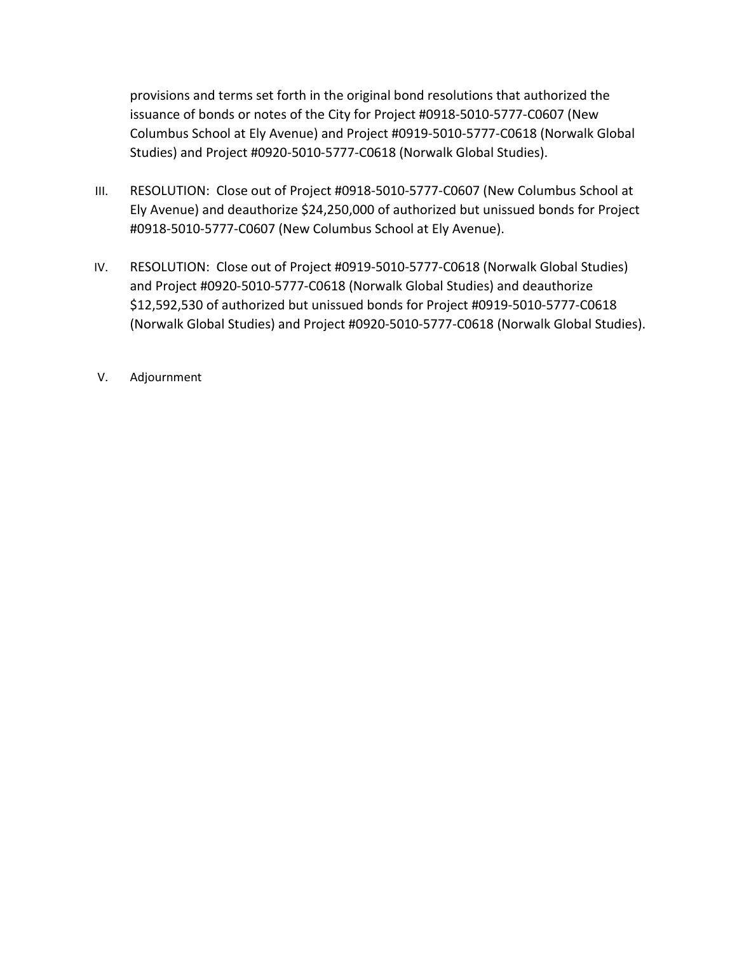provisions and terms set forth in the original bond resolutions that authorized the issuance of bonds or notes of the City for Project #0918-5010-5777-C0607 (New Columbus School at Ely Avenue) and Project #0919-5010-5777-C0618 (Norwalk Global Studies) and Project #0920-5010-5777-C0618 (Norwalk Global Studies).

- III. RESOLUTION: Close out of Project #0918-5010-5777-C0607 (New Columbus School at Ely Avenue) and deauthorize \$24,250,000 of authorized but unissued bonds for Project #0918-5010-5777-C0607 (New Columbus School at Ely Avenue).
- IV. RESOLUTION: Close out of Project #0919-5010-5777-C0618 (Norwalk Global Studies) and Project #0920-5010-5777-C0618 (Norwalk Global Studies) and deauthorize \$12,592,530 of authorized but unissued bonds for Project #0919-5010-5777-C0618 (Norwalk Global Studies) and Project #0920-5010-5777-C0618 (Norwalk Global Studies).
- V. Adjournment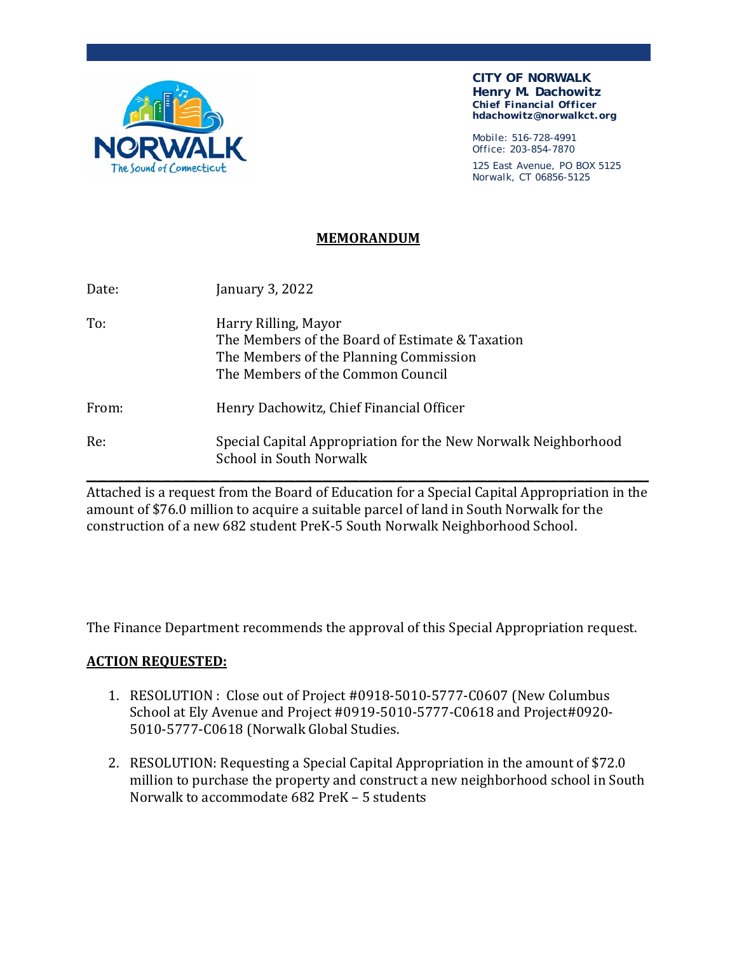

**CITY OF NORWALK Henry M. Dachowitz**  *Chief Financial Officer*  **hdachowitz@norwalkct.org** 

Mobile: 516-728-4991 Office: 203-854-7870

125 East Avenue, PO BOX 5125 Norwalk, CT 06856-5125

#### **MEMORANDUM**

| Date: | January 3, 2022                                                                                                                                        |
|-------|--------------------------------------------------------------------------------------------------------------------------------------------------------|
| To:   | Harry Rilling, Mayor<br>The Members of the Board of Estimate & Taxation<br>The Members of the Planning Commission<br>The Members of the Common Council |
| From: | Henry Dachowitz, Chief Financial Officer                                                                                                               |
| Re:   | Special Capital Appropriation for the New Norwalk Neighborhood<br>School in South Norwalk                                                              |

Attached is a request from the Board of Education for a Special Capital Appropriation in the amount of \$76.0 million to acquire a suitable parcel of land in South Norwalk for the construction of a new 682 student PreK-5 South Norwalk Neighborhood School.

The Finance Department recommends the approval of this Special Appropriation request.

#### **ACTION REQUESTED:**

- 1. RESOLUTION : Close out of Project #0918-5010-5777-C0607 (New Columbus School at Ely Avenue and Project #0919-5010-5777-C0618 and Project#0920- 5010-5777-C0618 (Norwalk Global Studies.
- 2. RESOLUTION: Requesting a Special Capital Appropriation in the amount of \$72.0 million to purchase the property and construct a new neighborhood school in South Norwalk to accommodate 682 PreK – 5 students